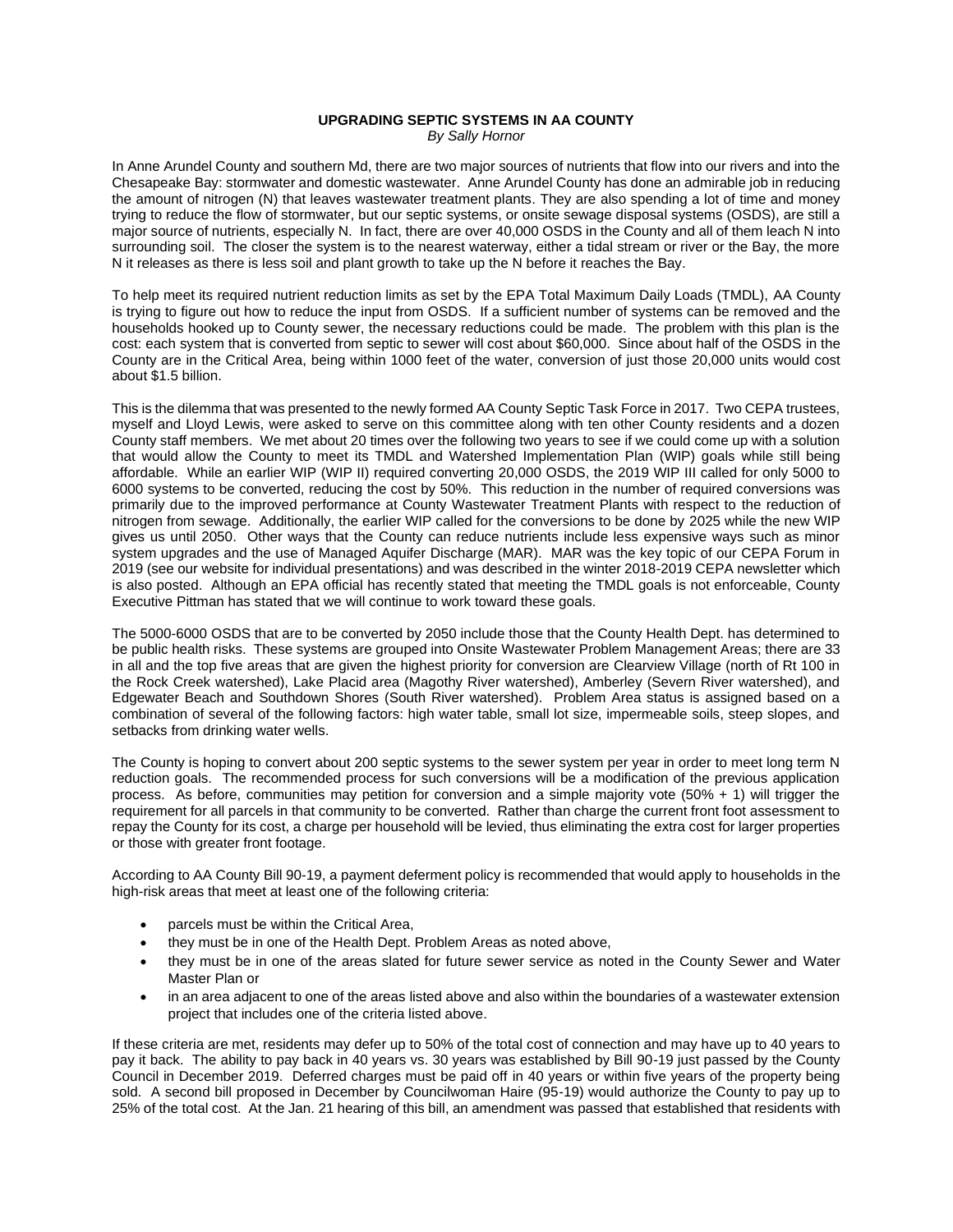## **UPGRADING SEPTIC SYSTEMS IN AA COUNTY**

*By Sally Hornor*

In Anne Arundel County and southern Md, there are two major sources of nutrients that flow into our rivers and into the Chesapeake Bay: stormwater and domestic wastewater. Anne Arundel County has done an admirable job in reducing the amount of nitrogen (N) that leaves wastewater treatment plants. They are also spending a lot of time and money trying to reduce the flow of stormwater, but our septic systems, or onsite sewage disposal systems (OSDS), are still a major source of nutrients, especially N. In fact, there are over 40,000 OSDS in the County and all of them leach N into surrounding soil. The closer the system is to the nearest waterway, either a tidal stream or river or the Bay, the more N it releases as there is less soil and plant growth to take up the N before it reaches the Bay.

To help meet its required nutrient reduction limits as set by the EPA Total Maximum Daily Loads (TMDL), AA County is trying to figure out how to reduce the input from OSDS. If a sufficient number of systems can be removed and the households hooked up to County sewer, the necessary reductions could be made. The problem with this plan is the cost: each system that is converted from septic to sewer will cost about \$60,000. Since about half of the OSDS in the County are in the Critical Area, being within 1000 feet of the water, conversion of just those 20,000 units would cost about \$1.5 billion.

This is the dilemma that was presented to the newly formed AA County Septic Task Force in 2017. Two CEPA trustees, myself and Lloyd Lewis, were asked to serve on this committee along with ten other County residents and a dozen County staff members. We met about 20 times over the following two years to see if we could come up with a solution that would allow the County to meet its TMDL and Watershed Implementation Plan (WIP) goals while still being affordable. While an earlier WIP (WIP II) required converting 20,000 OSDS, the 2019 WIP III called for only 5000 to 6000 systems to be converted, reducing the cost by 50%. This reduction in the number of required conversions was primarily due to the improved performance at County Wastewater Treatment Plants with respect to the reduction of nitrogen from sewage. Additionally, the earlier WIP called for the conversions to be done by 2025 while the new WIP gives us until 2050. Other ways that the County can reduce nutrients include less expensive ways such as minor system upgrades and the use of Managed Aquifer Discharge (MAR). MAR was the key topic of our CEPA Forum in 2019 (see our website for individual presentations) and was described in the winter 2018-2019 CEPA newsletter which is also posted. Although an EPA official has recently stated that meeting the TMDL goals is not enforceable, County Executive Pittman has stated that we will continue to work toward these goals.

The 5000-6000 OSDS that are to be converted by 2050 include those that the County Health Dept. has determined to be public health risks. These systems are grouped into Onsite Wastewater Problem Management Areas; there are 33 in all and the top five areas that are given the highest priority for conversion are Clearview Village (north of Rt 100 in the Rock Creek watershed), Lake Placid area (Magothy River watershed), Amberley (Severn River watershed), and Edgewater Beach and Southdown Shores (South River watershed). Problem Area status is assigned based on a combination of several of the following factors: high water table, small lot size, impermeable soils, steep slopes, and setbacks from drinking water wells.

The County is hoping to convert about 200 septic systems to the sewer system per year in order to meet long term N reduction goals. The recommended process for such conversions will be a modification of the previous application process. As before, communities may petition for conversion and a simple majority vote (50% + 1) will trigger the requirement for all parcels in that community to be converted. Rather than charge the current front foot assessment to repay the County for its cost, a charge per household will be levied, thus eliminating the extra cost for larger properties or those with greater front footage.

According to AA County Bill 90-19, a payment deferment policy is recommended that would apply to households in the high-risk areas that meet at least one of the following criteria:

- parcels must be within the Critical Area,
- they must be in one of the Health Dept. Problem Areas as noted above,
- they must be in one of the areas slated for future sewer service as noted in the County Sewer and Water Master Plan or
- in an area adjacent to one of the areas listed above and also within the boundaries of a wastewater extension project that includes one of the criteria listed above.

If these criteria are met, residents may defer up to 50% of the total cost of connection and may have up to 40 years to pay it back. The ability to pay back in 40 years vs. 30 years was established by Bill 90-19 just passed by the County Council in December 2019. Deferred charges must be paid off in 40 years or within five years of the property being sold. A second bill proposed in December by Councilwoman Haire (95-19) would authorize the County to pay up to 25% of the total cost. At the Jan. 21 hearing of this bill, an amendment was passed that established that residents with